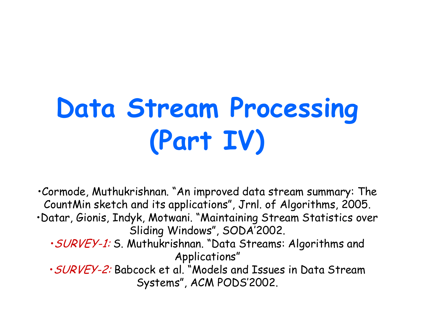# **Data Stream Processing** (Part IV)

. Cormode, Muthukrishnan. "An improved data stream summary: The CountMin sketch and its applications", Jrnl. of Algorithms, 2005. ·Datar, Gionis, Indyk, Motwani. "Maintaining Stream Statistics over Sliding Windows", SODA'2002. · SURVEY-1: S. Muthukrishnan. "Data Streams: Algorithms and Applications" · SURVEY-2: Babcock et al. "Models and Issues in Data Stream Systems", ACM PODS'2002.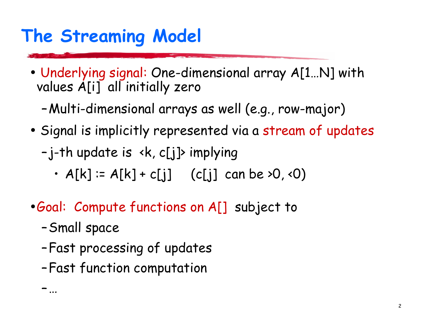## The Streaming Model

- Underlying signal: One-dimensional array A[1...N] with values A[i] all initially zero
	- -Multi-dimensional arrays as well (e.g., row-major)
- Signal is implicitly represented via a stream of updates

-j-th update is <k, c[j]> implying

- $A[k] := A[k] + c[j]$  (c[j] can be >0, <0)
- Goal: Compute functions on A[] subject to
	- -Small space

<u>- ...</u>

- -Fast processing of updates
- -Fast function computation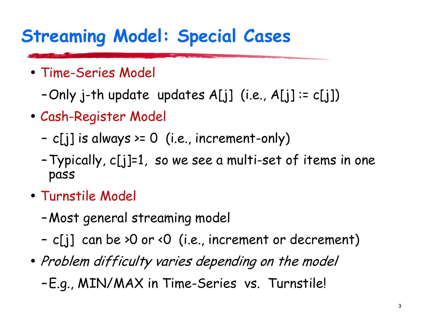## **Streaming Model: Special Cases**

- Time-Series Model
	- -Only j-th update updates  $A[j]$  (i.e.,  $A[j]$  :=  $c[j]$ )
- Cash-Register Model
	- c[j] is always >=  $0$  (i.e., increment-only)
	- Typically, c[j]=1, so we see a multi-set of items in one pass
- Turnstile Model
	- -Most general streaming model
	- c[j] can be >0 or <0 (i.e., increment or decrement)
- Problem difficulty varies depending on the model
	- -E.g., MIN/MAX in Time-Series vs. Turnstile!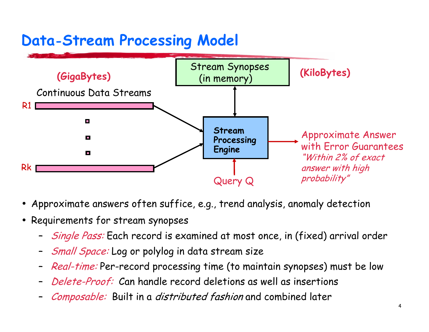### **Data-Stream Processing Model**



- Approximate answers often suffice, e.g., trend analysis, anomaly detection
- Requirements for stream synopses
	- *Single Pass:* Each record is examined at most once, in (fixed) arrival order
	- Small Space: Log or polylog in data stream size
	- Real-time: Per-record processing time (to maintain synopses) must be low
	- Delete-Proof: Can handle record deletions as well as insertions
	- Composable: Built in a distributed fashion and combined later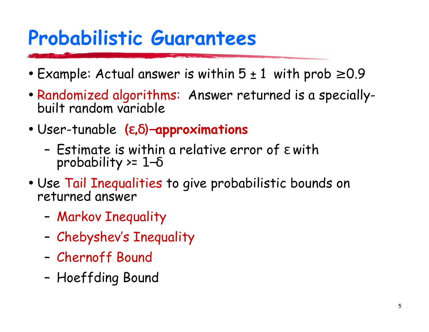## **Probabilistic Guarantees**

- Example: Actual answer is within  $5 \pm 1$  with prob  $\ge 0.9$
- Randomized algorithms: Answer returned is a speciallybuilt random variable
- User-tunable  $(\epsilon, \delta)$ -approximations
	- Estimate is within a relative error of  $\varepsilon$  with probability >=  $1-\delta$
- Use Tail Inequalities to give probabilistic bounds on returned answer
	- Markov Inequality
	- Chebyshev's Inequality
	- Chernoff Bound
	- Hoeffding Bound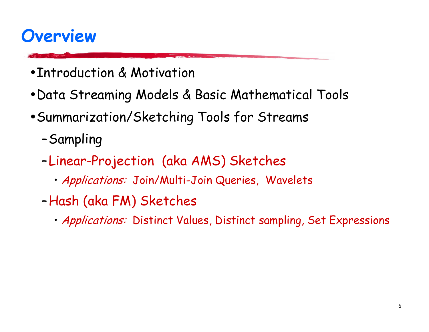### **Overview**

- Introduction & Motivation
- . Data Streaming Models & Basic Mathematical Tools
- Summarization/Sketching Tools for Streams
	- -Sampling
	- -Linear-Projection (aka AMS) Sketches
		- · Applications: Join/Multi-Join Queries, Wavelets
	- -Hash (aka FM) Sketches
		- · Applications: Distinct Values, Distinct sampling, Set Expressions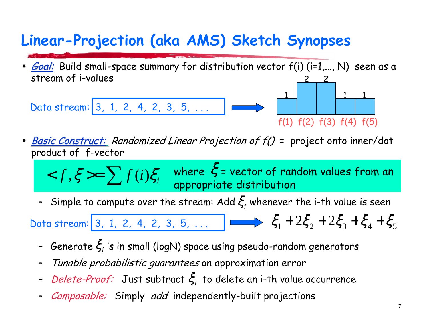### Linear-Projection (aka AMS) Sketch Synopses

Goal: Build small-space summary for distribution vector f(i) (i=1,..., N) seen as a stream of i-values

Data stream: 3, 1, 2, 4, 2, 3, 5, ...

 $f(1) f(2) f(3) f(4) f(5)$ 

- **Basic Construct:** Randomized Linear Projection of  $f()$  = project onto inner/dot product of f-vector
	- $< f, \xi >= \sum f(i) \xi_i$  where  $\xi$  = vector of random values from an appropriate distribution
	- Simple to compute over the stream: Add  $\xi$ , whenever the i-th value is seen

Data stream: 3, 1, 2, 4, 2, 3, 5, ...  $\Box$   $\Longleftrightarrow$   $\xi_1 + 2\xi_2 + 2\xi_3 + \xi_4 + \xi_5$ 

- Generate  $\xi_i$  's in small (logN) space using pseudo-random generators
- Tunable probabilistic guarantees on approximation error
- *Delete-Proof:* Just subtract  $\xi$ , to delete an i-th value occurrence
- Composable: Simply add independently-built projections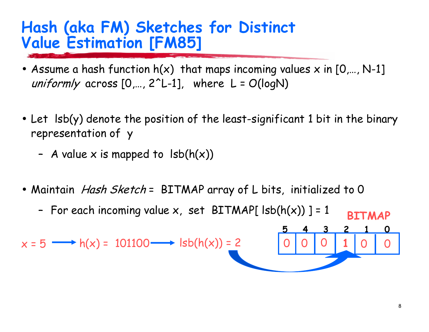### Hash (aka FM) Sketches for Distinct **Value Estimation [FM85]**

- Assume a hash function  $h(x)$  that maps incoming values x in  $[0,..., N-1]$ uniformly across  $[0,..., 2^L-1]$ , where  $L = O(logN)$
- Let Isb(y) denote the position of the least-significant 1 bit in the binary representation of y
	- A value x is mapped to  $\text{lsb}(h(x))$
- Maintain *Hash Sketch* = BITMAP array of L bits, initialized to 0
	- For each incoming value  $x$ , set BITMAP[  $\text{lsb}(h(x))$  ] = 1 **BTTMAP**

 $x = 5 \longrightarrow h(x) = 101100 \longrightarrow \text{lsb}(h(x)) = 2$ 

 $\mathbf{3}$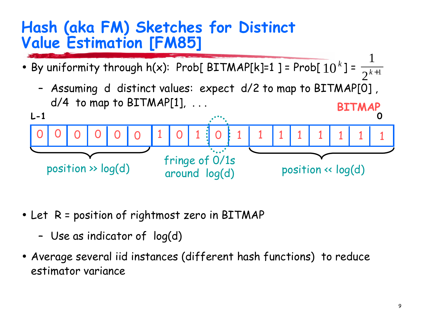### Hash (aka FM) Sketches for Distinct **Value Estimation [FM85]**

- By uniformity through h(x): Prob[BITMAP[k]=1] = Prob[ $10^k$ ] =  $\frac{1}{2^{k+1}}$ 
	- Assuming d distinct values: expect d/2 to map to BITMAP[0],  $d/4$  to map to BITMAP[1], ... **BITMAP**



- Let R = position of rightmost zero in BITMAP
	- Use as indicator of log(d)
- Average several iid instances (different hash functions) to reduce estimator variance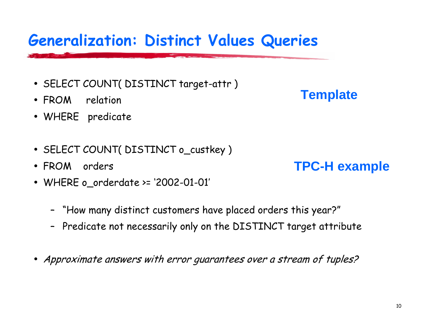### **Generalization: Distinct Values Queries**

- SELECT COUNT( DISTINCT target-attr)
- FROM relation
- · WHERE predicate
- SELECT COUNT(DISTINCT o\_custkey)
- FROM orders
- WHERE o\_orderdate >= '2002-01-01'
	- "How many distinct customers have placed orders this year?"
	- Predicate not necessarily only on the DISTINCT target attribute
- Approximate answers with error quarantees over a stream of tuples?

#### **Template**

**TPC-H** example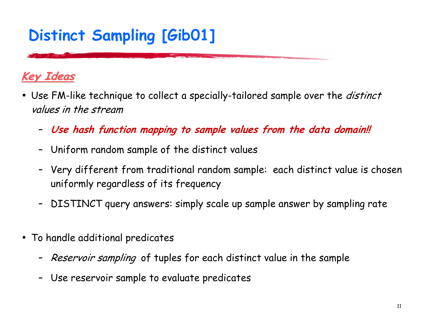### **Distinct Sampling [GibO1]**

#### <u>Key Ideas</u>

- Use FM-like technique to collect a specially-tailored sample over the *distinct* values in the stream
	- Use hash function mapping to sample values from the data domain!!
	- Uniform random sample of the distinct values
	- Very different from traditional random sample: each distinct value is chosen uniformly regardless of its frequency
	- DISTINCT query answers: simply scale up sample answer by sampling rate  $\qquad \qquad \blacksquare$
- To handle additional predicates  $\bullet$ 
	- Reservoir sampling of tuples for each distinct value in the sample
	- Use reservoir sample to evaluate predicates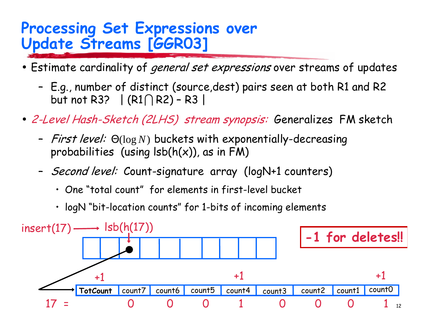### **Processing Set Expressions over Update Streams [GGR03]**

- Estimate cardinality of *general set expressions* over streams of updates
	- E.g., number of distinct (source, dest) pairs seen at both R1 and R2 but not R3?  $|(R1 \cap R2) - R3|$
- · 2-Level Hash-Sketch (2LHS) stream synopsis: Generalizes FM sketch
	- *First level:*  $\Theta(\log N)$  buckets with exponentially-decreasing probabilities (using  $\text{lsb}(h(x))$ , as in FM)
	- Second level: Count-signature array (logN+1 counters)
		- One "total count" for elements in first-level bucket
		- · logN "bit-location counts" for 1-bits of incoming elements

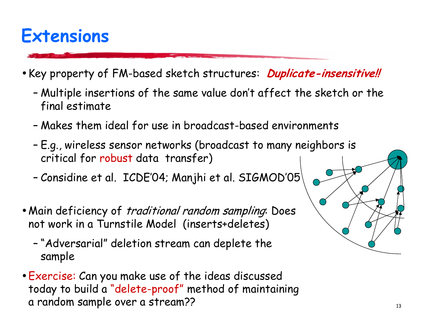### **Extensions**

- Key property of FM-based sketch structures: *Duplicate-insensitive!!* 
	- Multiple insertions of the same value don't affect the sketch or the final estimate
	- Makes them ideal for use in broadcast-based environments
	- E.g., wireless sensor networks (broadcast to many neighbors is critical for robust data transfer)
	- Considine et al. ICDE'04; Manjhi et al. SIGMOD'05
- Main deficiency of *traditional random sampling*. Does not work in a Turnstile Model (inserts+deletes)
	- "Adversarial" deletion stream can deplete the sample
- Exercise: Can you make use of the ideas discussed today to build a "delete-proof" method of maintaining a random sample over a stream??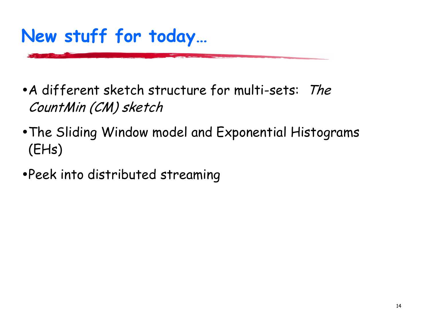## New stuff for today...

- A different sketch structure for multi-sets: The CountMin (CM) sketch
- . The Sliding Window model and Exponential Histograms  $(EHs)$
- Peek into distributed streaming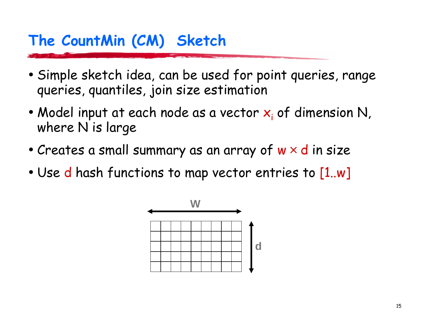### The CountMin (CM) Sketch

- Simple sketch idea, can be used for point queries, range queries, quantiles, join size estimation
- Model input at each node as a vector  $x_i$  of dimension N, where N is large
- Creates a small summary as an array of  $w \times d$  in size
- $\bullet$  Use d hash functions to map vector entries to [1..w]

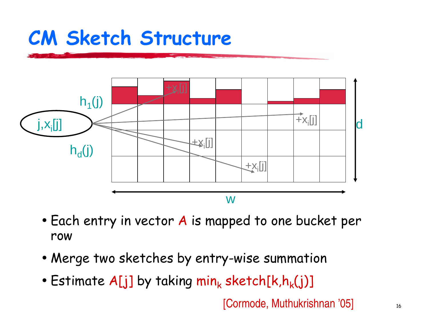## CM Sketch Structure



- $\bullet$  Each entry in vector  $\boldsymbol{A}$  is mapped to one bucket per row
- $\bullet$  Merge two sketches by entry-wise summation
- $\bullet$  Estimate A[j] by taking  $\mathsf{min}_{\mathsf{k}}$  sketch[k,h $_{\mathsf{k}}(\mathsf{j})$ ]

[Cormode, Muthukrishnan '05]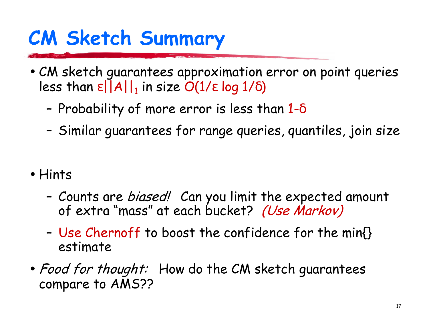# **CM Sketch Summary**

- CM sketch guarantees approximation error on point queries less than  $\epsilon$  | | A | |, in size  $O(1/\epsilon \log 1/\delta)$ 
	- Probability of more error is less than  $1-\delta$
	- Similar guarantees for range queries, quantiles, join size
- Hints
	- Counts are *biased!* Can you limit the expected amount of extra "mass" at each bucket? (Use Markov)
	- Use Chernoff to boost the confidence for the min{} estimate
- Food for thought: How do the CM sketch quarantees compare to AMS??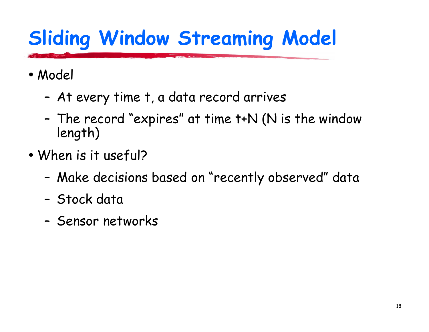# **Sliding Window Streaming Model**

- · Model
	- At every time t, a data record arrives
	- The record "expires" at time t+N (N is the window length)
- When is it useful?
	- Make decisions based on "recently observed" data
	- Stock data
	- Sensor networks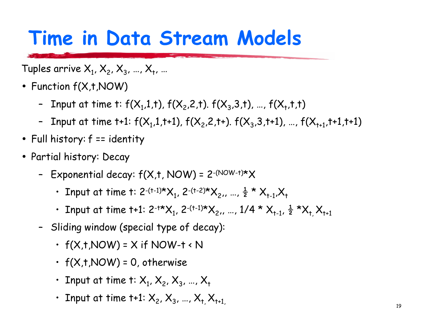## Time in Data Stream Models

Tuples arrive  $X_1, X_2, X_3, ..., X_t, ...$ 

- Function  $f(X,t,NOW)$ 
	- Input at time t:  $f(X_1,1,t)$ ,  $f(X_2,2,t)$ .  $f(X_3,3,t)$ , ...,  $f(X_1,t,t)$
	- Input at time t+1:  $f(X_1,1,t+1)$ ,  $f(X_2,2,t+)$ .  $f(X_3,3,t+1)$ , ...,  $f(X_{t+1},t+1,t+1)$
- Full history:  $f ==$  identity
- Partial history: Decay
	- Exponential decay:  $f(X,t, NOW) = 2^{-(NOW-t)*}X$ 
		- Input at time t: 2-(t-1)\* $X_1$ , 2-(t-2)\* $X_2$ ,, ...,  $\frac{1}{2}$  \*  $X_{t-1}$ ,  $X_t$
		- Input at time t+1:  $2^{-t*}X_1$ ,  $2^{-(t-1)*}X_2$ ,, ...,  $1/4 * X_{t-1}$ ,  $\frac{1}{2} * X_t X_{t+1}$
	- Sliding window (special type of decay):
		- $\cdot$  f(X,t,NOW) = X if NOW-t < N
		- $\cdot$  f(X,t,NOW) = 0, otherwise
		- Input at time t:  $X_1, X_2, X_3, ..., X_t$
		- Input at time t+1:  $X_2$ ,  $X_3$ , ...,  $X_1 X_{t+1}$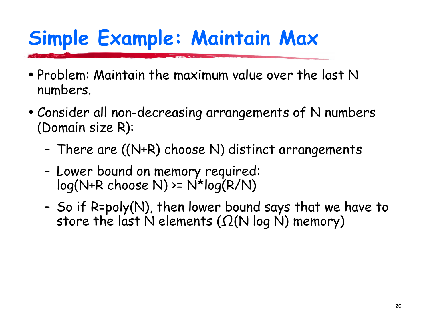# Simple Example: Maintain Max

- Problem: Maintain the maximum value over the last N numbers.
- Consider all non-decreasing arrangements of N numbers (Domain size R):
	- There are ((N+R) choose N) distinct arrangements
	- Lower bound on memory required:  $log(N+R \text{ choose } N)$  >=  $N*log(R/N)$
	- So if R=poly(N), then lower bound says that we have to store the last N elements ( $\Omega(N \log N)$  memory)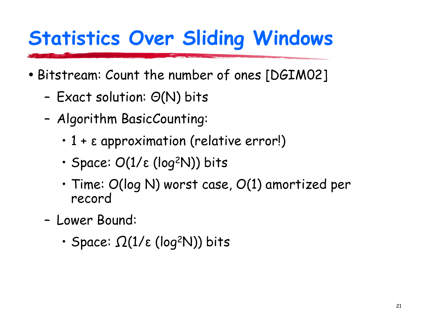## **Statistics Over Sliding Windows**

- Bitstream: Count the number of ones [DGIM02]
	- Exact solution:  $\Theta(N)$  bits
	- Algorithm BasicCounting:
		- $\cdot$  1 +  $\varepsilon$  approximation (relative error!)
		- $\cdot$  Space: O(1/ $\varepsilon$  (log<sup>2</sup>N)) bits
		- $\cdot$  Time: O(log N) worst case, O(1) amortized per record
	- Lower Bound:
		- $\cdot$  Space:  $\Omega(1/\varepsilon \text{ (log²N)})$  bits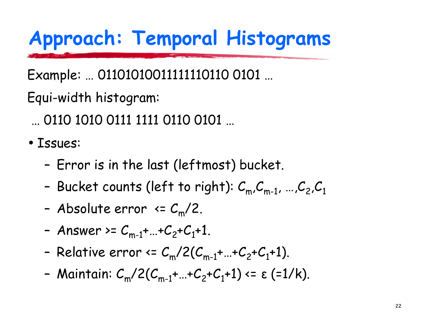# Approach: Temporal Histograms

Example: ... 011010100111111110110 0101 ...

Equi-width histogram:

- ... 0110 1010 0111 1111 0110 0101 ...
- · Issues:
	- Error is in the last (leftmost) bucket.
	- Bucket counts (left to right):  $C_m, C_{m-1}, ..., C_2, C_1$
	- Absolute error  $\langle 2, \frac{m}{2} \rangle$
	- Answer >=  $C_{m-1}$ +...+ $C_2$ + $C_1$ +1.
	- Relative error  $\leq C_m/2(C_{m-1}+...+C_2+C_1+1)$ .
	- Maintain:  $C_m/2(C_{m-1} + ... + C_2 + C_1 + 1) \le \varepsilon$  (=1/k).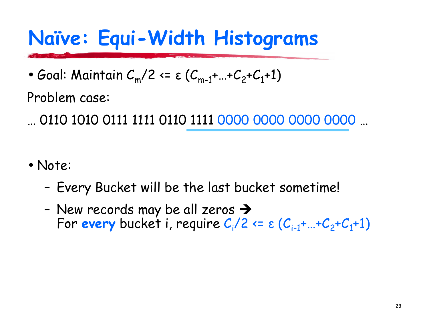# Naïve: Equi-Width Histograms

• Goal: Maintain  $C_m/2 \leq \varepsilon (C_{m-1} + ... + C_2 + C_1 + 1)$ 

Problem case:

 $\dots$  0110 1010 0111 1111 0110 1111 0000 0000 0000 0000  $\dots$ 

- Note:
	- Every Bucket will be the last bucket sometime!
	- New records may be all zeros  $\rightarrow$ For every bucket i, require  $C_i/2 \leq \varepsilon (C_{i-1} + ... + C_2 + C_1 + 1)$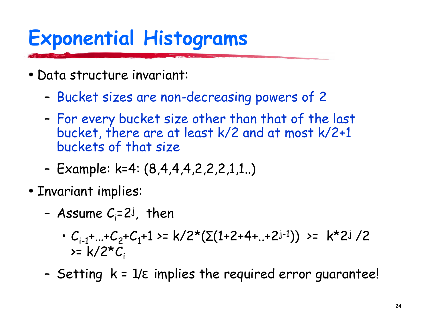# **Exponential Histograms**

- Data structure invariant:
	- Bucket sizes are non-decreasing powers of 2
	- For every bucket size other than that of the last bucket, there are at least k/2 and at most k/2+1 buckets of that size
	- Example: k=4: (8,4,4,4,2,2,2,1,1..)
- Invariant implies:
	- Assume  $C_i=2^i$ , then
		- $\cdot C_{i-1} + ... + C_2 + C_1 + 1 \ge k/2^*(\Sigma(1+2+4+...+2^{j-1})) \ge k^*2^j/2$  $>= k/2 \times C_i$
	- Setting  $k = 1/\epsilon$  implies the required error quarantee!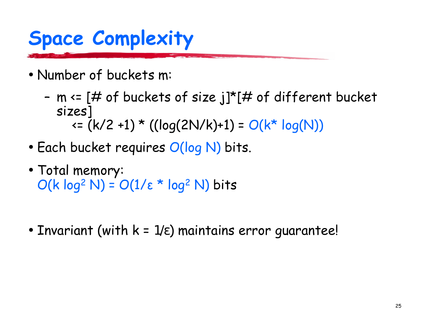# **Space Complexity**

- Number of buckets m:
	- m  $\leq$  [# of buckets of size j]\*[# of different bucket sizes]  $\leq (k/2 + 1) * ((log(2N/k) + 1) = O(k^* log(N))$
- Each bucket requires  $O(log N)$  bits.
- Total memory:  $O(k \log^2 N) = O(1/\epsilon * \log^2 N)$  bits
- Invariant (with  $k = 1/\epsilon$ ) maintains error quarantee!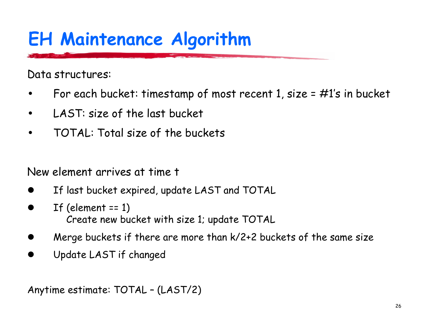## **EH Maintenance Algorithm**

Data structures:

- For each bucket: timestamp of most recent 1, size =  $\#1's$  in bucket
- LAST: size of the last bucket  $\bullet$
- TOTAL: Total size of the buckets

New element arrives at time t

- If last bucket expired, update LAST and TOTAL
- If (element  $== 1)$ Create new bucket with size 1; update TOTAL
- Merge buckets if there are more than k/2+2 buckets of the same size
- Update LAST if changed

Anytime estimate: TOTAL - (LAST/2)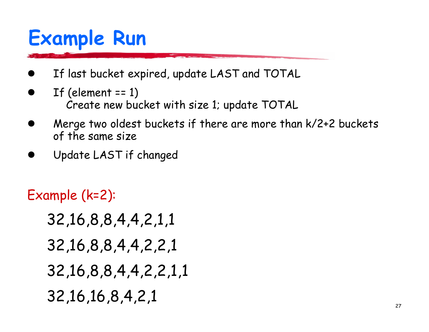## **Example Run**

- If last bucket expired, update LAST and TOTAL
- If (element  $== 1)$ Create new bucket with size 1; update TOTAL
- Merge two oldest buckets if there are more than k/2+2 buckets of the same size
- Update LAST if changed

Example (k=2):

- 32, 16, 8, 8, 4, 4, 2, 1, 1
- 32, 16, 8, 8, 4, 4, 2, 2, 1
- 32, 16, 8, 8, 4, 4, 2, 2, 1, 1
- 32, 16, 16, 8, 4, 2, 1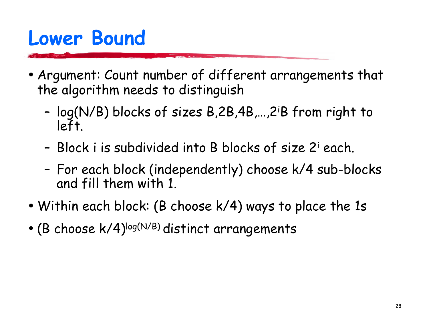## **Lower Bound**

- Argument: Count number of different arrangements that the algorithm needs to distinguish
	- log(N/B) blocks of sizes B,2B,4B,...,2<sup>i</sup>B from right to left.
	- Block i is subdivided into B blocks of size 2<sup>i</sup> each.
	- For each block (independently) choose k/4 sub-blocks and fill them with 1.
- Within each block: (B choose  $k/4$ ) ways to place the 1s
- (B choose  $k/4$ )<sup>log(N/B)</sup> distinct arrangements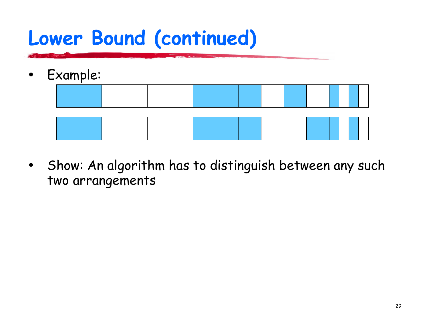## Lower Bound (continued)

- Example:  $\bullet$
- Show: An algorithm has to distinguish between any such  $\bullet$ two arrangements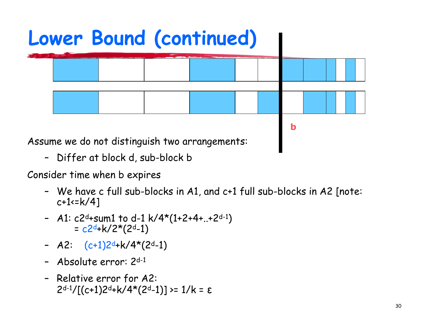

- Differ at block d, sub-block b

Consider time when b expires

- We have c full sub-blocks in A1, and c+1 full sub-blocks in A2 [note:  $c+1:=k/4$ ]
- A1:  $c2d+sum1$  to d-1 k/4\*(1+2+4+..+2d-1)  $= c2d+k/2*(2d-1)$
- A2:  $(c+1)2d+k/4*(2d-1)$
- Absolute error: 2d-1
- Relative error for A2:  $2<sup>d-1</sup>/[(c+1)2<sup>d</sup>+k/4*(2<sup>d</sup>-1)] \ge 1/k = \epsilon$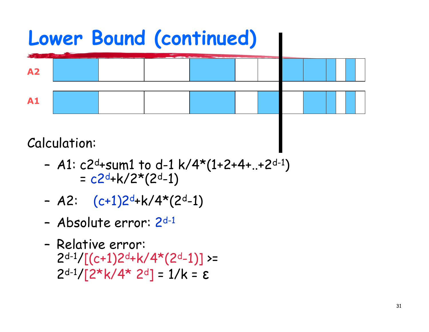

**Calculation:** 

- A1:  $c2d+sum1$  to d-1 k/4\*(1+2+4+..+2d-1)  $= c2d+k/2*(2d-1)$
- A2:  $(c+1)2d+k/4*(2d-1)$
- Absolute error:  $2<sup>d-1</sup>$
- Relative error:  $2<sup>d-1</sup>/[(c+1)2<sup>d</sup>+k/4*(2<sup>d</sup>-1)]>=$  $2<sup>d-1</sup>/[2<sup>*</sup>k/4<sup>*</sup> 2<sup>d</sup>] = 1/k = \epsilon$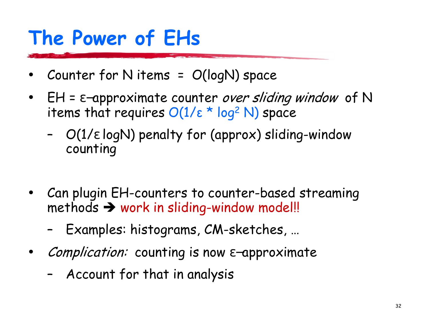# The Power of EHs

- Counter for N items =  $O(logN)$  space
- $EH = \epsilon$ -approximate counter over sliding window of N items that requires  $O(1/\epsilon * log^2 N)$  space
	- $O(1/\epsilon \log N)$  penalty for (approx) sliding-window counting
- Can plugin EH-counters to counter-based streaming methods  $\rightarrow$  work in sliding-window model!!
	- Examples: histograms, CM-sketches, ...
- *Complication:* counting is now  $\varepsilon$ -approximate
	- Account for that in analysis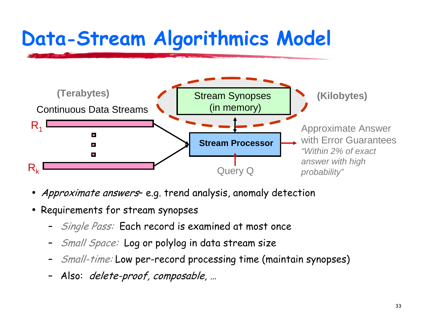# Data-Stream Algorithmics Model



- *Approximate answers* e.g. trend analysis, anomaly detection
- $\bullet\,$  Requirements for stream synopses
	- ;Single Pass: Each record is examined at most once
	- ;- *Small Space:* Log or polylog in data stream size
	- ;- Small-time: Low per-record processing time (maintain synopses)
	- Also: *delete-proof, composable, ...*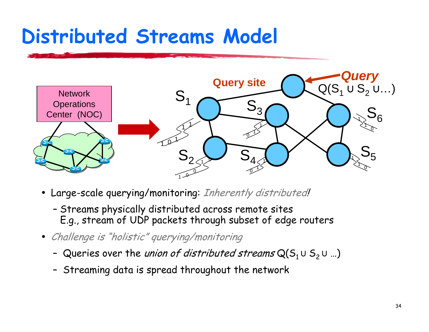## Distributed Streams Model



- Large-scale querying/monitoring: Inherently distributed!
	- Streams physically distributed across remote sites E.g., stream of UDP packets through subset of edge routers
- Challenge is "holistic" querying/monitoring
	- Queries over the *union of distributed streams*  $\mathsf{Q}(\mathsf{S}_1 \cup \mathsf{S}_2 \cup ...)$
	- Streaming data is spread throughout the network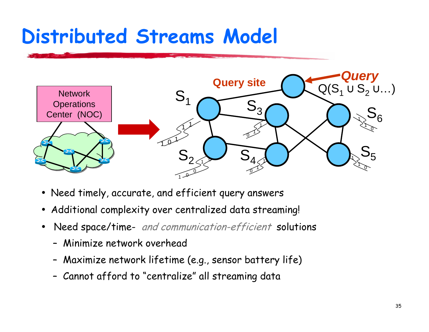## **Distributed Streams Model**



- Need timely, accurate, and efficient query answers
- Additional complexity over centralized data streaming!
- Need space/time- and communication-efficient solutions  $\bullet$ 
	- Minimize network overhead
	- Maximize network lifetime (e.g., sensor battery life)
	- Cannot afford to "centralize" all streaming data